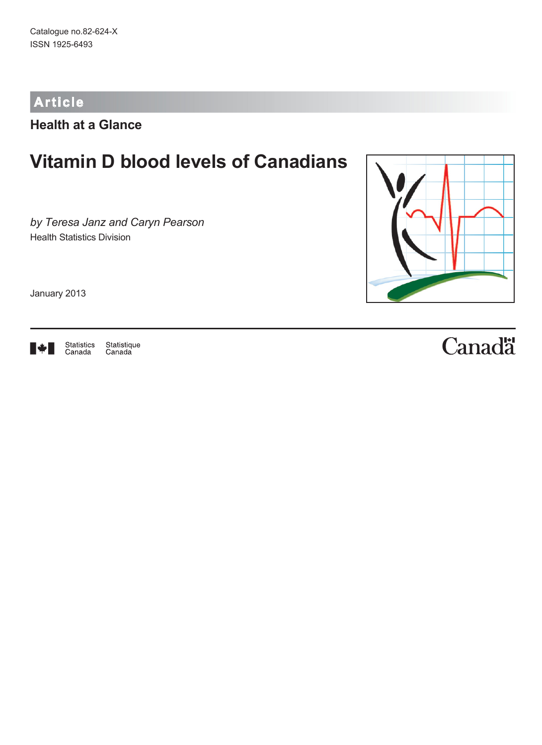# **Article**

**Health at a Glance**

# **Vitamin D blood levels of Canadians**

*by Teresa Janz and Caryn Pearson* Health Statistics Division

January 2013



Statistics<br>Canada Statistique<br>Canada



# Canadä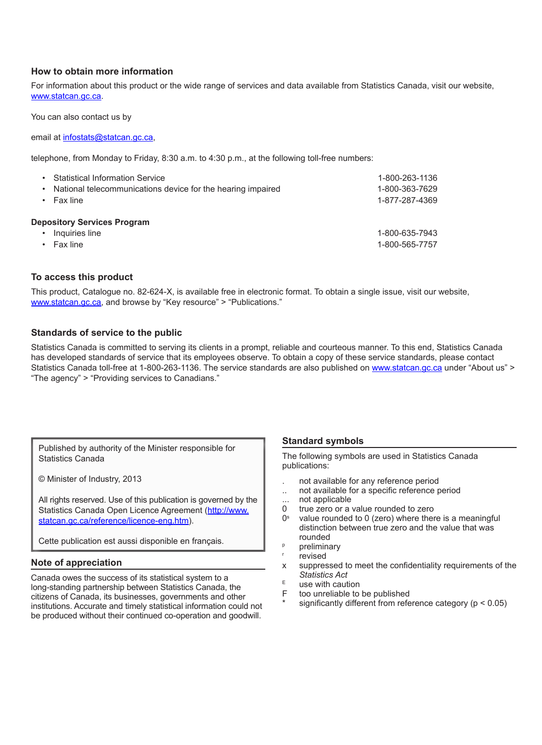#### **How to obtain more information**

For information about this product or the wide range of services and data available from Statistics Canada, visit our website, [www.statcan.gc.ca.](http://www.statcan.gc.ca/)

You can also contact us by

email at [infostats@statcan.gc.ca,](mailto:infostats%40statcan.gc.ca?subject=)

telephone, from Monday to Friday, 8:30 a.m. to 4:30 p.m., at the following toll-free numbers:

| ٠                                  | <b>Statistical Information Service</b><br>National telecommunications device for the hearing impaired<br>Fax line | 1-800-263-1136<br>1-800-363-7629<br>1-877-287-4369 |
|------------------------------------|-------------------------------------------------------------------------------------------------------------------|----------------------------------------------------|
| <b>Depository Services Program</b> |                                                                                                                   |                                                    |
|                                    | Inquiries line                                                                                                    | 1-800-635-7943                                     |
|                                    | Fax line                                                                                                          | 1-800-565-7757                                     |

#### **To access this product**

This product, Catalogue no. 82-624-X, is available free in electronic format. To obtain a single issue, visit our website, www.statcan.gc.ca, and browse by "Key resource" > "Publications."

#### **Standards of service to the public**

Statistics Canada is committed to serving its clients in a prompt, reliable and courteous manner. To this end, Statistics Canada has developed standards of service that its employees observe. To obtain a copy of these service standards, please contact Statistics Canada toll-free at 1-800-263-1136. The service standards are also published on [www.statcan.gc.ca](http://www.statcan.gc.ca/) under "About us" > "The agency" > "Providing services to Canadians."

Published by authority of the Minister responsible for Statistics Canada

© Minister of Industry, 2013

All rights reserved. Use of this publication is governed by the Statistics Canada Open Licence Agreement (http://www. statcan.gc.ca/reference/licence-eng.htm).

Cette publication est aussi disponible en français.

#### **Note of appreciation**

Canada owes the success of its statistical system to a long-standing partnership between Statistics Canada, the citizens of Canada, its businesses, governments and other institutions. Accurate and timely statistical information could not be produced without their continued co-operation and goodwill.

#### **Standard symbols**

The following symbols are used in Statistics Canada publications:

- . not available for any reference period
- .. not available for a specific reference period
- ... not applicable
- 0 true zero or a value rounded to zero
- $0<sup>s</sup>$  value rounded to 0 (zero) where there is a meaningful distinction between true zero and the value that was rounded
- <sup>p</sup> preliminary
- revised
- x suppressed to meet the confidentiality requirements of the *Statistics Act*
- $E$  use with caution<br>F too unreliable to
- too unreliable to be published
- significantly different from reference category ( $p < 0.05$ )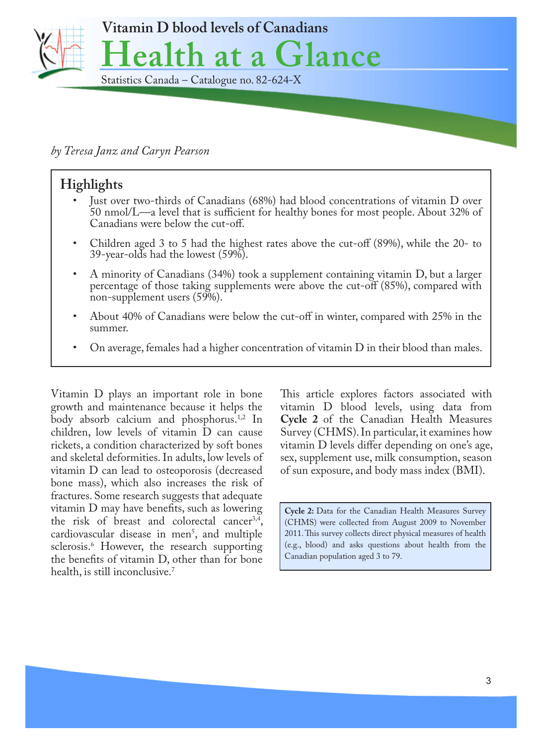

# *by Teresa Janz and Caryn Pearson*

# **Highlights**

- Just over two-thirds of Canadians (68%) had blood concentrations of vitamin D over 50 nmol/L—a level that is sufficient for healthy bones for most people. About 32% of Canadians were below the cut-off.
- Children aged 3 to 5 had the highest rates above the cut-off (89%), while the 20- to 39-year-olds had the lowest (59%).
- A minority of Canadians (34%) took a supplement containing vitamin D, but a larger percentage of those taking supplements were above the cut-off (85%), compared with non-supplement users (59%).
- About 40% of Canadians were below the cut-off in winter, compared with 25% in the summer.
- On average, females had a higher concentration of vitamin  $D$  in their blood than males.

Vitamin D plays an important role in bone growth and maintenance because it helps the body absorb calcium and phosphorus.<sup>1,2</sup> In children, low levels of vitamin D can cause rickets, a condition characterized by soft bones and skeletal deformities. In adults, low levels of vitamin D can lead to osteoporosis (decreased bone mass), which also increases the risk of fractures. Some research suggests that adequate vitamin D may have benefits, such as lowering the risk of breast and colorectal cancer<sup>3,4</sup>, cardiovascular disease in men5 , and multiple sclerosis.6 However, the research supporting the benefits of vitamin D, other than for bone health, is still inconclusive.<sup>7</sup>

This article explores factors associated with vitamin D blood levels, using data from **Cycle 2** of the Canadian Health Measures Survey (CHMS). In particular, it examines how vitamin D levels differ depending on one's age, sex, supplement use, milk consumption, season of sun exposure, and body mass index (BMI).

**Cycle 2:** Data for the Canadian Health Measures Survey (CHMS) were collected from August 2009 to November 2011. This survey collects direct physical measures of health (e.g., blood) and asks questions about health from the Canadian population aged 3 to 79.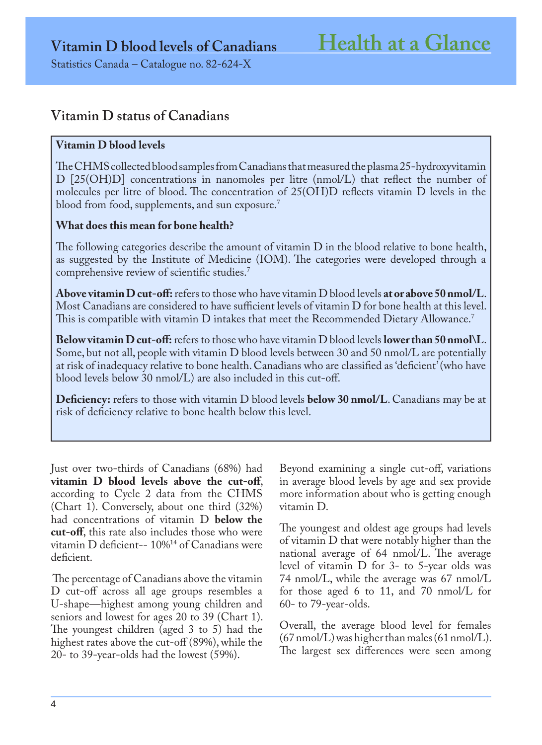# **Vitamin D status of Canadians**

## **Vitamin D blood levels**

The CHMS collected blood samples from Canadians that measured the plasma 25-hydroxyvitamin D [25(OH)D] concentrations in nanomoles per litre (nmol/L) that reflect the number of molecules per litre of blood. The concentration of 25(OH)D reflects vitamin D levels in the blood from food, supplements, and sun exposure.<sup>7</sup>

## **What does this mean for bone health?**

The following categories describe the amount of vitamin D in the blood relative to bone health, as suggested by the Institute of Medicine (IOM). The categories were developed through a comprehensive review of scientific studies.7

**Above vitamin D cut-off:** refers to those who have vitamin D blood levels **at or above 50 nmol/L**. Most Canadians are considered to have sufficient levels of vitamin D for bone health at this level. This is compatible with vitamin D intakes that meet the Recommended Dietary Allowance.<sup>7</sup>

**Below vitamin D cut-off:** refers to those who have vitamin D blood levels **lower than 50 nmol\L**. Some, but not all, people with vitamin D blood levels between 30 and 50 nmol/L are potentially at risk of inadequacy relative to bone health. Canadians who are classified as 'deficient' (who have blood levels below 30 nmol/L) are also included in this cut-off.

**Deficiency:** refers to those with vitamin D blood levels **below 30 nmol/L**. Canadians may be at risk of deficiency relative to bone health below this level.

Just over two-thirds of Canadians (68%) had **vitamin D blood levels above the cut-off**, according to Cycle 2 data from the CHMS (Chart 1). Conversely, about one third (32%) had concentrations of vitamin D **below the cut-off**, this rate also includes those who were vitamin D deficient-- 10%14 of Canadians were deficient.

 The percentage of Canadians above the vitamin D cut-off across all age groups resembles a U-shape—highest among young children and seniors and lowest for ages 20 to 39 (Chart 1). The youngest children (aged 3 to 5) had the highest rates above the cut-off (89%), while the 20- to 39-year-olds had the lowest (59%).

Beyond examining a single cut-off, variations in average blood levels by age and sex provide more information about who is getting enough vitamin D.

The youngest and oldest age groups had levels of vitamin D that were notably higher than the national average of 64 nmol/L. The average level of vitamin D for 3- to 5-year olds was 74 nmol/L, while the average was 67 nmol/L for those aged 6 to 11, and 70 nmol/L for 60- to 79-year-olds.

Overall, the average blood level for females  $(67 \,\mathrm{nmol/L})$  was higher than males  $(61 \,\mathrm{nmol/L})$ . The largest sex differences were seen among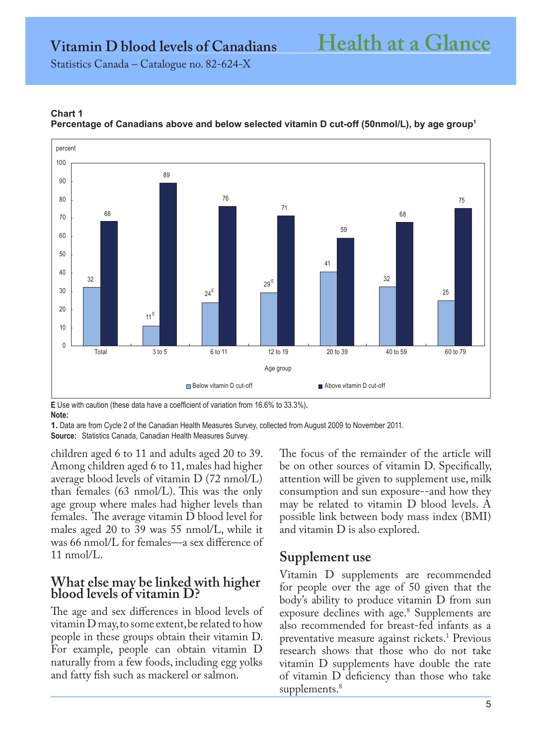**Vitamin D blood levels of Canadians Health at a Glance**

Statistics Canada – Catalogue no. 82-624-X



#### **Chart 1 Percentage of Canadians above and below selected vitamin D cut-off (50nmol/L), by age group1**

**E** Use with caution (these data have a coefficient of variation from 16.6% to 33.3%)**. Note:**

**1.** Data are from Cycle 2 of the Canadian Health Measures Survey, collected from August 2009 to November 2011. **Source:** Statistics Canada, Canadian Health Measures Survey.

children aged 6 to 11 and adults aged 20 to 39. Among children aged 6 to 11, males had higher average blood levels of vitamin D (72 nmol/L) than females (63 nmol/L). This was the only age group where males had higher levels than females. The average vitamin D blood level for males aged 20 to 39 was 55 nmol/L, while it was 66 nmol/L for females—a sex difference of 11 nmol/L.

# **What else may be linked with higher blood levels of vitamin D?**

The age and sex differences in blood levels of vitamin D may, to some extent, be related to how people in these groups obtain their vitamin D. For example, people can obtain vitamin D naturally from a few foods, including egg yolks and fatty fish such as mackerel or salmon.

The focus of the remainder of the article will be on other sources of vitamin D. Specifically, attention will be given to supplement use, milk consumption and sun exposure--and how they may be related to vitamin D blood levels. A possible link between body mass index (BMI) and vitamin D is also explored.

# **Supplement use**

Vitamin D supplements are recommended for people over the age of 50 given that the body's ability to produce vitamin D from sun exposure declines with age.8 Supplements are also recommended for breast-fed infants as a preventative measure against rickets.<sup>1</sup> Previous research shows that those who do not take vitamin D supplements have double the rate of vitamin D deficiency than those who take supplements.<sup>8</sup>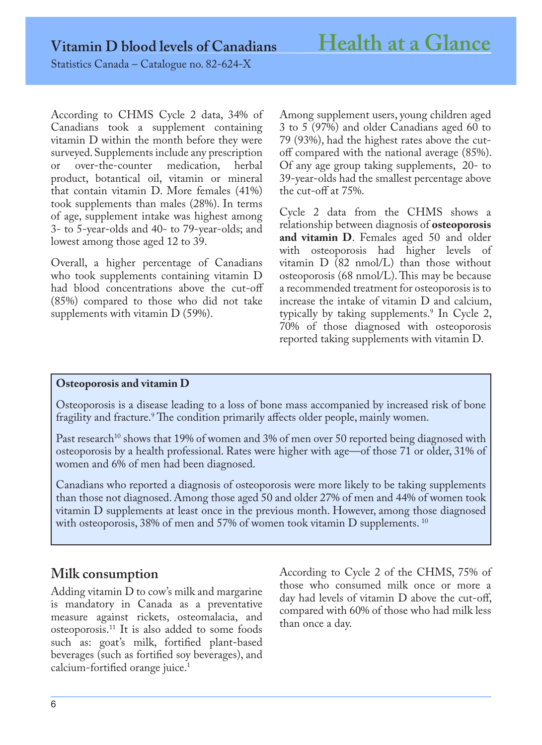Statistics Canada – Catalogue no. 82-624-X

According to CHMS Cycle 2 data, 34% of Canadians took a supplement containing vitamin D within the month before they were surveyed. Supplements include any prescription<br>or over-the-counter medication, herbal or over-the-counter product, botantical oil, vitamin or mineral that contain vitamin D. More females (41%) took supplements than males (28%). In terms of age, supplement intake was highest among 3- to 5-year-olds and 40- to 79-year-olds; and lowest among those aged 12 to 39.

Overall, a higher percentage of Canadians who took supplements containing vitamin D had blood concentrations above the cut-off (85%) compared to those who did not take supplements with vitamin D (59%).

Among supplement users, young children aged 3 to 5 (97%) and older Canadians aged 60 to 79 (93%), had the highest rates above the cutoff compared with the national average (85%). Of any age group taking supplements, 20- to 39-year-olds had the smallest percentage above the cut-off at 75%.

Cycle 2 data from the CHMS shows a relationship between diagnosis of **osteoporosis and vitamin D**. Females aged 50 and older with osteoporosis had higher levels of vitamin  $D$  (82 nmol/L) than those without osteoporosis (68 nmol/L). This may be because a recommended treatment for osteoporosis is to increase the intake of vitamin D and calcium, typically by taking supplements.9 In Cycle 2, 70% of those diagnosed with osteoporosis reported taking supplements with vitamin D.

### **Osteoporosis and vitamin D**

Osteoporosis is a disease leading to a loss of bone mass accompanied by increased risk of bone fragility and fracture.9 The condition primarily affects older people, mainly women.

Past research<sup>10</sup> shows that 19% of women and 3% of men over 50 reported being diagnosed with osteoporosis by a health professional. Rates were higher with age—of those 71 or older, 31% of women and 6% of men had been diagnosed.

Canadians who reported a diagnosis of osteoporosis were more likely to be taking supplements than those not diagnosed. Among those aged 50 and older 27% of men and 44% of women took vitamin D supplements at least once in the previous month. However, among those diagnosed with osteoporosis, 38% of men and 57% of women took vitamin  $D$  supplements.  $^{10}$ 

# **Milk consumption**

Adding vitamin D to cow's milk and margarine is mandatory in Canada as a preventative measure against rickets, osteomalacia, and osteoporosis.11 It is also added to some foods such as: goat's milk, fortified plant-based beverages (such as fortified soy beverages), and calcium-fortified orange juice.<sup>1</sup>

According to Cycle 2 of the CHMS, 75% of those who consumed milk once or more a day had levels of vitamin D above the cut-off, compared with 60% of those who had milk less than once a day.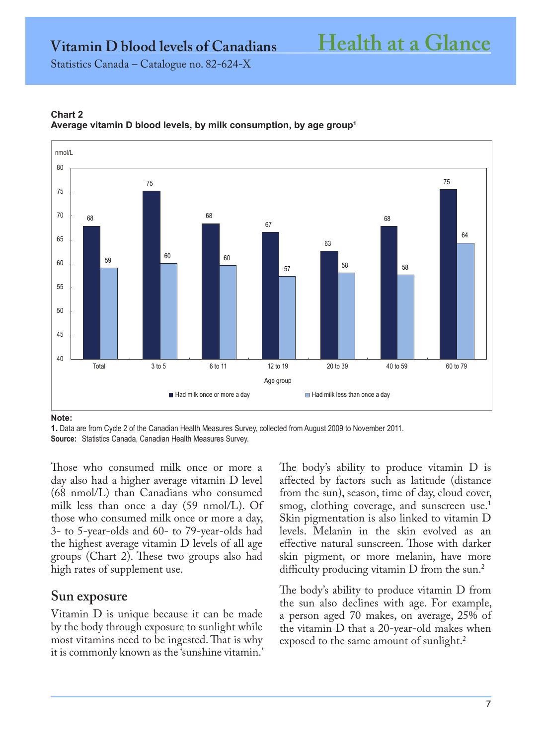**Vitamin D blood levels of Canadians Health at a Glance**

Statistics Canada – Catalogue no. 82-624-X



#### **Chart 2** Average vitamin D blood levels, by milk consumption, by age group<sup>1</sup>

**Note:**

**1.** Data are from Cycle 2 of the Canadian Health Measures Survey, collected from August 2009 to November 2011. **Source:** Statistics Canada, Canadian Health Measures Survey.

Those who consumed milk once or more a day also had a higher average vitamin D level (68 nmol/L) than Canadians who consumed milk less than once a day (59 nmol/L). Of those who consumed milk once or more a day, 3- to 5-year-olds and 60- to 79-year-olds had the highest average vitamin D levels of all age groups (Chart 2). These two groups also had high rates of supplement use.

# **Sun exposure**

Vitamin D is unique because it can be made by the body through exposure to sunlight while most vitamins need to be ingested. That is why it is commonly known as the 'sunshine vitamin.'

The body's ability to produce vitamin D is affected by factors such as latitude (distance from the sun), season, time of day, cloud cover, smog, clothing coverage, and sunscreen use.<sup>1</sup> Skin pigmentation is also linked to vitamin D levels. Melanin in the skin evolved as an effective natural sunscreen. Those with darker skin pigment, or more melanin, have more difficulty producing vitamin D from the sun.<sup>2</sup>

The body's ability to produce vitamin D from the sun also declines with age. For example, a person aged 70 makes, on average, 25% of the vitamin D that a 20-year-old makes when exposed to the same amount of sunlight.<sup>2</sup>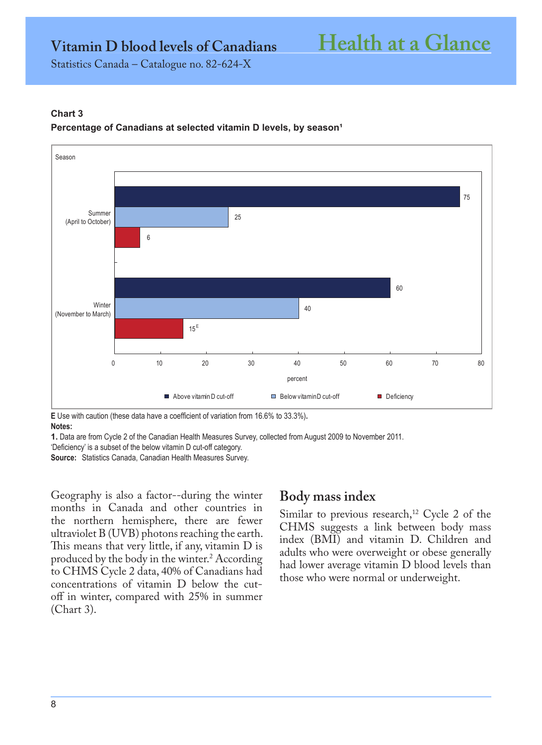**Vitamin D blood levels of Canadians Health at a Glance**

Statistics Canada – Catalogue no. 82-624-X

#### **Chart 3**

#### Percentage of Canadians at selected vitamin D levels, by season<sup>1</sup>



**E** Use with caution (these data have a coefficient of variation from 16.6% to 33.3%)**.**

**Notes:**

**1.** Data are from Cycle 2 of the Canadian Health Measures Survey, collected from August 2009 to November 2011.

'Deficiency' is a subset of the below vitamin D cut-off category.

**Source:** Statistics Canada, Canadian Health Measures Survey.

Geography is also a factor--during the winter months in Canada and other countries in the northern hemisphere, there are fewer ultraviolet B (UVB) photons reaching the earth. This means that very little, if any, vitamin D is produced by the body in the winter.2 According to CHMS Cycle 2 data, 40% of Canadians had concentrations of vitamin D below the cutoff in winter, compared with 25% in summer (Chart 3).

# **Body mass index**

Similar to previous research,<sup>12</sup> Cycle 2 of the CHMS suggests a link between body mass index (BMI) and vitamin D. Children and adults who were overweight or obese generally had lower average vitamin D blood levels than those who were normal or underweight.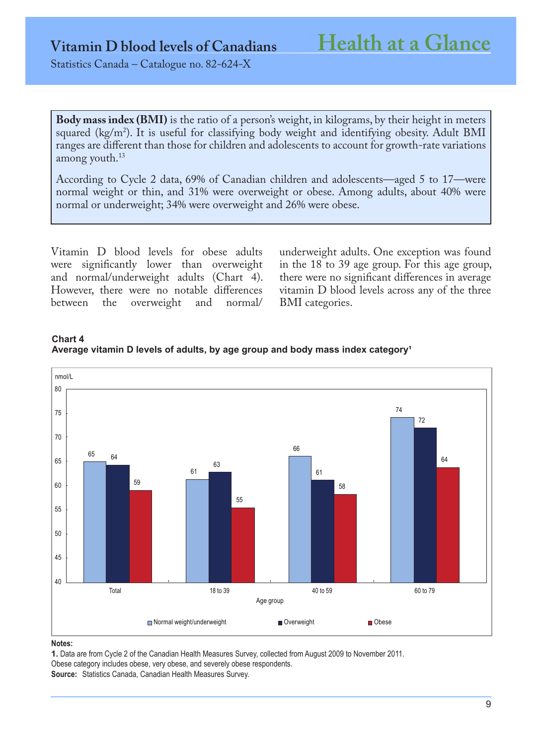Statistics Canada – Catalogue no. 82-624-X

**Body mass index (BMI)** is the ratio of a person's weight, in kilograms, by their height in meters squared (kg/m2 ). It is useful for classifying body weight and identifying obesity. Adult BMI ranges are different than those for children and adolescents to account for growth-rate variations among youth.<sup>13</sup>

According to Cycle 2 data, 69% of Canadian children and adolescents—aged 5 to 17—were normal weight or thin, and 31% were overweight or obese. Among adults, about 40% were normal or underweight; 34% were overweight and 26% were obese.

Vitamin D blood levels for obese adults were significantly lower than overweight and normal/underweight adults (Chart 4). However, there were no notable differences<br>between the overweight and normal/ overweight

underweight adults. One exception was found in the 18 to 39 age group. For this age group, there were no significant differences in average vitamin D blood levels across any of the three BMI categories.



### **Chart 4**  Average vitamin D levels of adults, by age group and body mass index category<sup>1</sup>

#### **Notes:**

**1.** Data are from Cycle 2 of the Canadian Health Measures Survey, collected from August 2009 to November 2011. Obese category includes obese, very obese, and severely obese respondents. **Source:** Statistics Canada, Canadian Health Measures Survey.